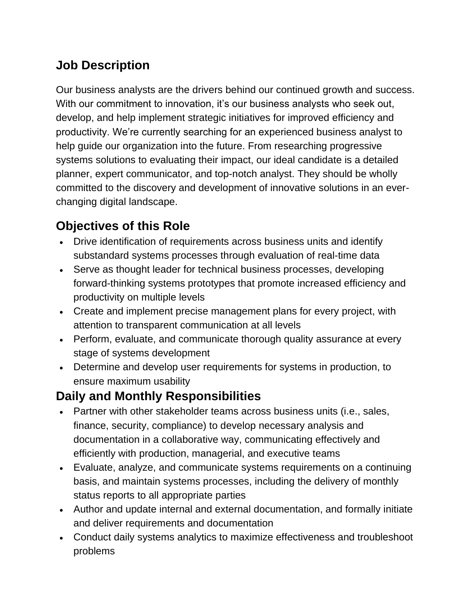## **Job Description**

Our business analysts are the drivers behind our continued growth and success. With our commitment to innovation, it's our business analysts who seek out, develop, and help implement strategic initiatives for improved efficiency and productivity. We're currently searching for an experienced business analyst to help guide our organization into the future. From researching progressive systems solutions to evaluating their impact, our ideal candidate is a detailed planner, expert communicator, and top-notch analyst. They should be wholly committed to the discovery and development of innovative solutions in an everchanging digital landscape.

### **Objectives of this Role**

- Drive identification of requirements across business units and identify substandard systems processes through evaluation of real-time data
- Serve as thought leader for technical business processes, developing forward-thinking systems prototypes that promote increased efficiency and productivity on multiple levels
- Create and implement precise management plans for every project, with attention to transparent communication at all levels
- Perform, evaluate, and communicate thorough quality assurance at every stage of systems development
- Determine and develop user requirements for systems in production, to ensure maximum usability

#### **Daily and Monthly Responsibilities**

- Partner with other stakeholder teams across business units (i.e., sales, finance, security, compliance) to develop necessary analysis and documentation in a collaborative way, communicating effectively and efficiently with production, managerial, and executive teams
- Evaluate, analyze, and communicate systems requirements on a continuing basis, and maintain systems processes, including the delivery of monthly status reports to all appropriate parties
- Author and update internal and external documentation, and formally initiate and deliver requirements and documentation
- Conduct daily systems analytics to maximize effectiveness and troubleshoot problems